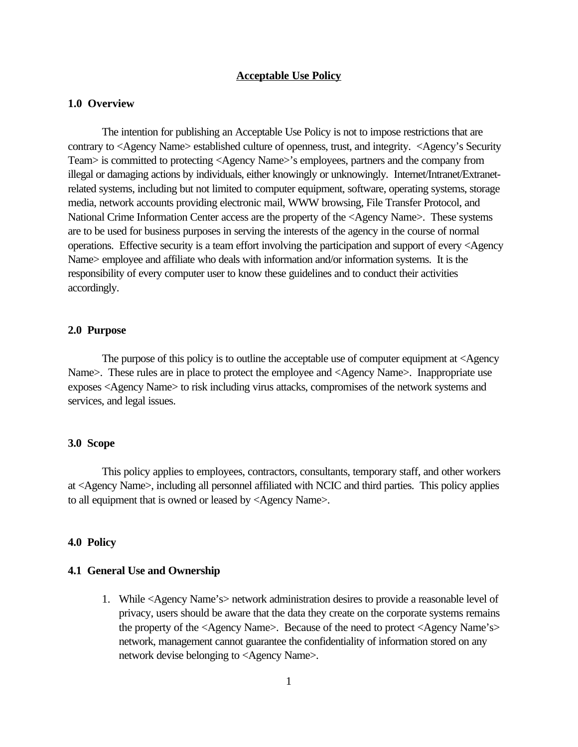#### **Acceptable Use Policy**

### **1.0 Overview**

The intention for publishing an Acceptable Use Policy is not to impose restrictions that are contrary to <Agency Name> established culture of openness, trust, and integrity. <Agency's Security Team> is committed to protecting <Agency Name>'s employees, partners and the company from illegal or damaging actions by individuals, either knowingly or unknowingly. Internet/Intranet/Extranetrelated systems, including but not limited to computer equipment, software, operating systems, storage media, network accounts providing electronic mail, WWW browsing, File Transfer Protocol, and National Crime Information Center access are the property of the <Agency Name>. These systems are to be used for business purposes in serving the interests of the agency in the course of normal operations. Effective security is a team effort involving the participation and support of every <Agency Name> employee and affiliate who deals with information and/or information systems. It is the responsibility of every computer user to know these guidelines and to conduct their activities accordingly.

#### **2.0 Purpose**

The purpose of this policy is to outline the acceptable use of computer equipment at <Agency Name>. These rules are in place to protect the employee and <Agency Name>. Inappropriate use exposes <Agency Name> to risk including virus attacks, compromises of the network systems and services, and legal issues.

#### **3.0 Scope**

This policy applies to employees, contractors, consultants, temporary staff, and other workers at <Agency Name>, including all personnel affiliated with NCIC and third parties. This policy applies to all equipment that is owned or leased by <Agency Name>.

## **4.0 Policy**

### **4.1 General Use and Ownership**

1. While <Agency Name's> network administration desires to provide a reasonable level of privacy, users should be aware that the data they create on the corporate systems remains the property of the <Agency Name>. Because of the need to protect <Agency Name's> network, management cannot guarantee the confidentiality of information stored on any network devise belonging to <Agency Name>.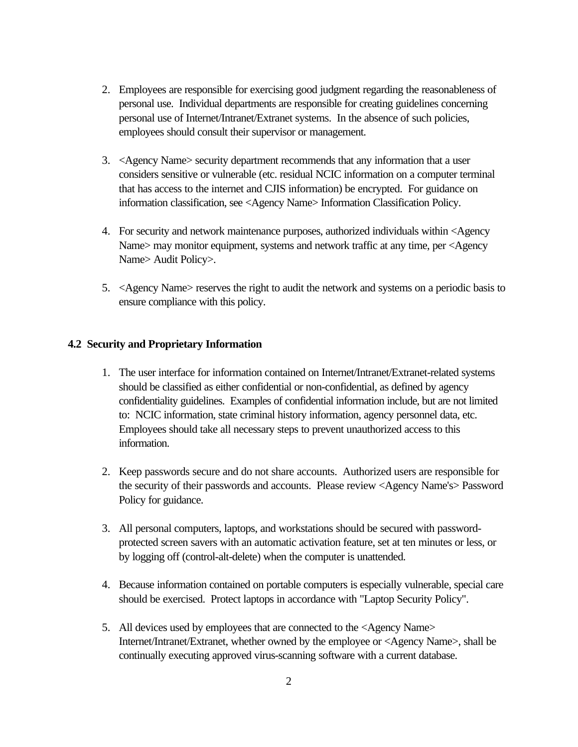- 2. Employees are responsible for exercising good judgment regarding the reasonableness of personal use. Individual departments are responsible for creating guidelines concerning personal use of Internet/Intranet/Extranet systems.In the absence of such policies, employees should consult their supervisor or management.
- 3. <Agency Name> security department recommends that any information that a user considers sensitive or vulnerable (etc. residual NCIC information on a computer terminal that has access to the internet and CJIS information) be encrypted. For guidance on information classification, see <Agency Name> Information Classification Policy.
- 4. For security and network maintenance purposes, authorized individuals within <Agency Name> may monitor equipment, systems and network traffic at any time, per <Agency Name> Audit Policy>.
- 5. <Agency Name> reserves the right to audit the network and systems on a periodic basis to ensure compliance with this policy.

## **4.2 Security and Proprietary Information**

- 1. The user interface for information contained on Internet/Intranet/Extranet-related systems should be classified as either confidential or non-confidential, as defined by agency confidentiality guidelines. Examples of confidential information include, but are not limited to: NCIC information, state criminal history information, agency personnel data, etc. Employees should take all necessary steps to prevent unauthorized access to this information.
- 2. Keep passwords secure and do not share accounts. Authorized users are responsible for the security of their passwords and accounts. Please review <Agency Name's> Password Policy for guidance.
- 3. All personal computers, laptops, and workstations should be secured with passwordprotected screen savers with an automatic activation feature, set at ten minutes or less, or by logging off (control-alt-delete) when the computer is unattended.
- 4. Because information contained on portable computers is especially vulnerable, special care should be exercised. Protect laptops in accordance with "Laptop Security Policy".
- 5. All devices used by employees that are connected to the <Agency Name> Internet/Intranet/Extranet, whether owned by the employee or <Agency Name>, shall be continually executing approved virus-scanning software with a current database.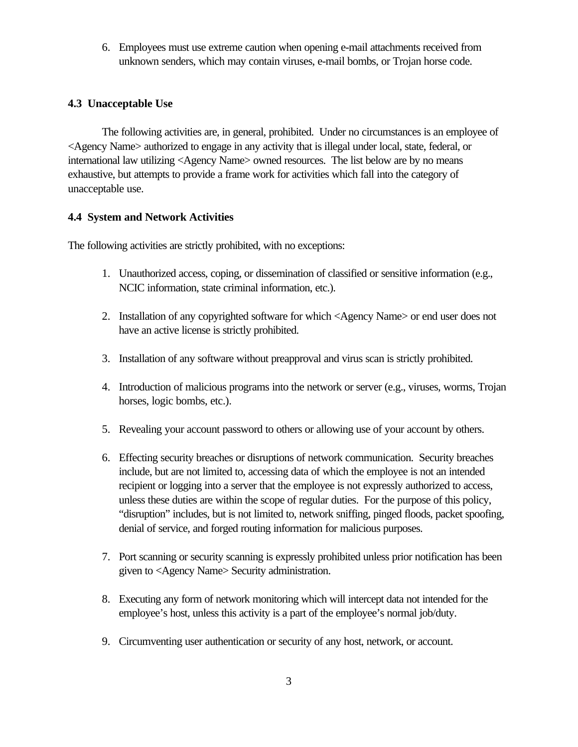6. Employees must use extreme caution when opening e-mail attachments received from unknown senders, which may contain viruses, e-mail bombs, or Trojan horse code.

# **4.3 Unacceptable Use**

The following activities are, in general, prohibited. Under no circumstances is an employee of <Agency Name> authorized to engage in any activity that is illegal under local, state, federal, or international law utilizing <Agency Name> owned resources. The list below are by no means exhaustive, but attempts to provide a frame work for activities which fall into the category of unacceptable use.

# **4.4 System and Network Activities**

The following activities are strictly prohibited, with no exceptions:

- 1. Unauthorized access, coping, or dissemination of classified or sensitive information (e.g., NCIC information, state criminal information, etc.).
- 2. Installation of any copyrighted software for which <Agency Name> or end user does not have an active license is strictly prohibited.
- 3. Installation of any software without preapproval and virus scan is strictly prohibited.
- 4. Introduction of malicious programs into the network or server (e.g., viruses, worms, Trojan horses, logic bombs, etc.).
- 5. Revealing your account password to others or allowing use of your account by others.
- 6. Effecting security breaches or disruptions of network communication. Security breaches include, but are not limited to, accessing data of which the employee is not an intended recipient or logging into a server that the employee is not expressly authorized to access, unless these duties are within the scope of regular duties. For the purpose of this policy, "disruption" includes, but is not limited to, network sniffing, pinged floods, packet spoofing, denial of service, and forged routing information for malicious purposes.
- 7. Port scanning or security scanning is expressly prohibited unless prior notification has been given to <Agency Name> Security administration.
- 8. Executing any form of network monitoring which will intercept data not intended for the employee's host, unless this activity is a part of the employee's normal job/duty.
- 9. Circumventing user authentication or security of any host, network, or account.